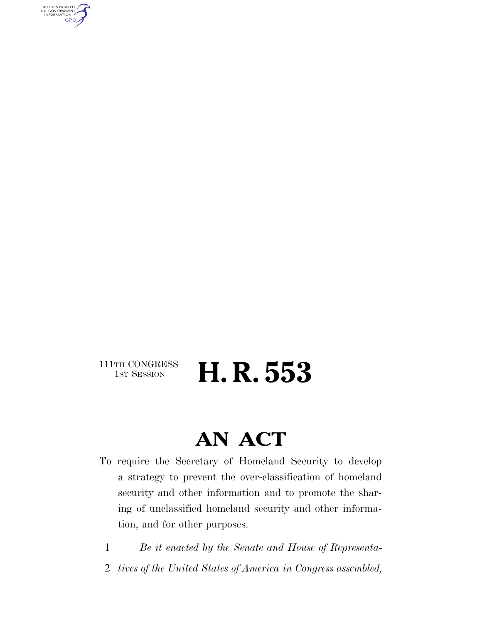AUTHENTICATED<br>U.S. GOVERNMENT<br>INFORMATION **GPO** 

111TH CONGRESS<br>1st Session

H. R. 553

## **AN ACT**

- To require the Secretary of Homeland Security to develop a strategy to prevent the over-classification of homeland security and other information and to promote the sharing of unclassified homeland security and other information, and for other purposes.
	- 1 *Be it enacted by the Senate and House of Representa-*
	- 2 *tives of the United States of America in Congress assembled,*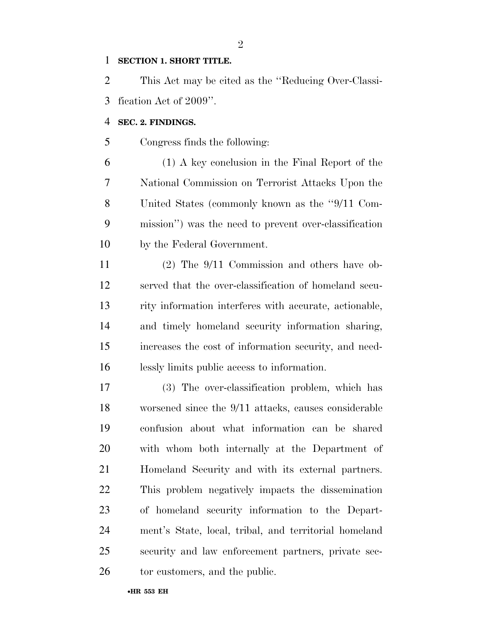### **SECTION 1. SHORT TITLE.**

 This Act may be cited as the ''Reducing Over-Classi-fication Act of 2009''.

### **SEC. 2. FINDINGS.**

Congress finds the following:

 (1) A key conclusion in the Final Report of the National Commission on Terrorist Attacks Upon the United States (commonly known as the ''9/11 Com- mission'') was the need to prevent over-classification by the Federal Government.

 (2) The 9/11 Commission and others have ob- served that the over-classification of homeland secu- rity information interferes with accurate, actionable, and timely homeland security information sharing, increases the cost of information security, and need-lessly limits public access to information.

 (3) The over-classification problem, which has worsened since the 9/11 attacks, causes considerable confusion about what information can be shared with whom both internally at the Department of Homeland Security and with its external partners. This problem negatively impacts the dissemination of homeland security information to the Depart- ment's State, local, tribal, and territorial homeland security and law enforcement partners, private sec-26 tor customers, and the public.

•**HR 553 EH**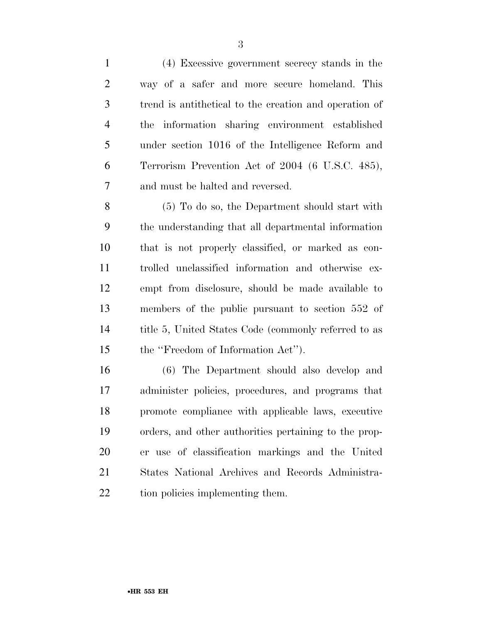(4) Excessive government secrecy stands in the way of a safer and more secure homeland. This trend is antithetical to the creation and operation of the information sharing environment established under section 1016 of the Intelligence Reform and Terrorism Prevention Act of 2004 (6 U.S.C. 485), and must be halted and reversed. (5) To do so, the Department should start with the understanding that all departmental information that is not properly classified, or marked as con- trolled unclassified information and otherwise ex-empt from disclosure, should be made available to

 members of the public pursuant to section 552 of title 5, United States Code (commonly referred to as the ''Freedom of Information Act'').

 (6) The Department should also develop and administer policies, procedures, and programs that promote compliance with applicable laws, executive orders, and other authorities pertaining to the prop- er use of classification markings and the United States National Archives and Records Administra-tion policies implementing them.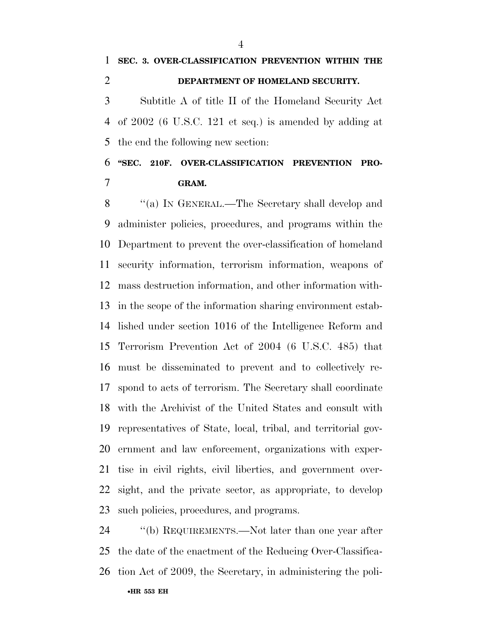of 2002 (6 U.S.C. 121 et seq.) is amended by adding at the end the following new section:

 **''SEC. 210F. OVER-CLASSIFICATION PREVENTION PRO-GRAM.** 

 ''(a) IN GENERAL.—The Secretary shall develop and administer policies, procedures, and programs within the Department to prevent the over-classification of homeland security information, terrorism information, weapons of mass destruction information, and other information with- in the scope of the information sharing environment estab- lished under section 1016 of the Intelligence Reform and Terrorism Prevention Act of 2004 (6 U.S.C. 485) that must be disseminated to prevent and to collectively re- spond to acts of terrorism. The Secretary shall coordinate with the Archivist of the United States and consult with representatives of State, local, tribal, and territorial gov- ernment and law enforcement, organizations with exper- tise in civil rights, civil liberties, and government over- sight, and the private sector, as appropriate, to develop such policies, procedures, and programs.

24 "(b) REQUIREMENTS.—Not later than one year after the date of the enactment of the Reducing Over-Classifica-tion Act of 2009, the Secretary, in administering the poli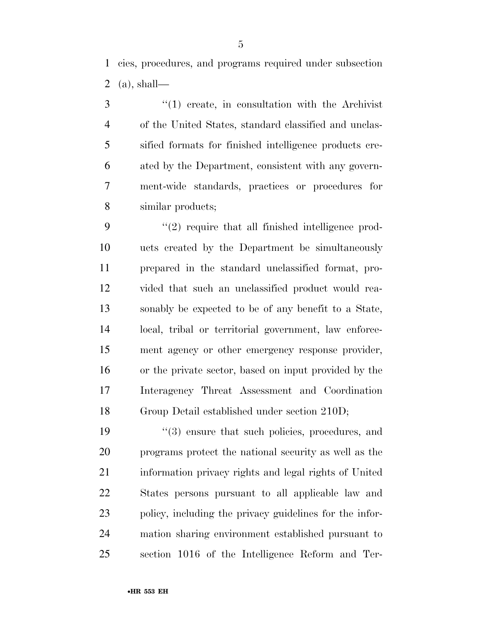cies, procedures, and programs required under subsection 2 (a), shall—

3 ''(1) create, in consultation with the Archivist of the United States, standard classified and unclas- sified formats for finished intelligence products cre- ated by the Department, consistent with any govern- ment-wide standards, practices or procedures for similar products;

9 "(2) require that all finished intelligence prod- ucts created by the Department be simultaneously prepared in the standard unclassified format, pro- vided that such an unclassified product would rea- sonably be expected to be of any benefit to a State, local, tribal or territorial government, law enforce- ment agency or other emergency response provider, or the private sector, based on input provided by the Interagency Threat Assessment and Coordination Group Detail established under section 210D;

19 ''(3) ensure that such policies, procedures, and programs protect the national security as well as the information privacy rights and legal rights of United States persons pursuant to all applicable law and policy, including the privacy guidelines for the infor- mation sharing environment established pursuant to section 1016 of the Intelligence Reform and Ter-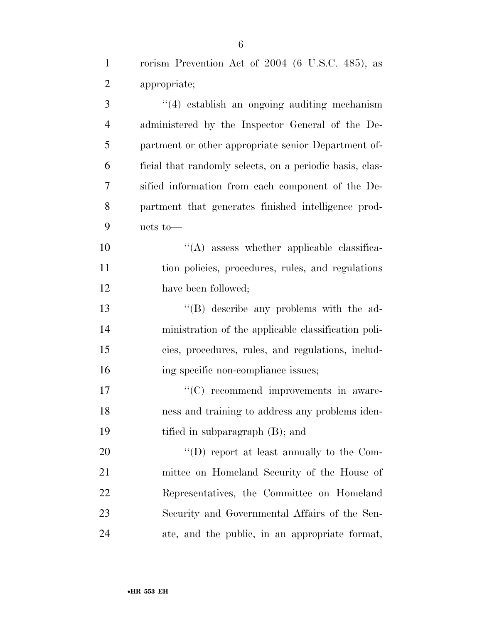| $\mathbf{1}$   | rorism Prevention Act of 2004 (6 U.S.C. 485), as         |
|----------------|----------------------------------------------------------|
| $\overline{2}$ | appropriate;                                             |
| 3              | $(4)$ establish an ongoing auditing mechanism            |
| $\overline{4}$ | administered by the Inspector General of the De-         |
| 5              | partment or other appropriate senior Department of-      |
| 6              | ficial that randomly selects, on a periodic basis, clas- |
| 7              | sified information from each component of the De-        |
| 8              | partment that generates finished intelligence prod-      |
| 9              | ucts to-                                                 |
| 10             | $\lq\lq$ assess whether applicable classifica-           |
| 11             | tion policies, procedures, rules, and regulations        |
| 12             | have been followed;                                      |
| 13             | "(B) describe any problems with the ad-                  |
| 14             | ministration of the applicable classification poli-      |
| 15             | cies, procedures, rules, and regulations, includ-        |
| 16             | ing specific non-compliance issues;                      |
| 17             | "(C) recommend improvements in aware-                    |
| 18             | ness and training to address any problems iden-          |
| 19             | tified in subparagraph (B); and                          |
| 20             | "(D) report at least annually to the Com-                |
| 21             | mittee on Homeland Security of the House of              |
| 22             | Representatives, the Committee on Homeland               |
| 23             | Security and Governmental Affairs of the Sen-            |
| 24             | ate, and the public, in an appropriate format,           |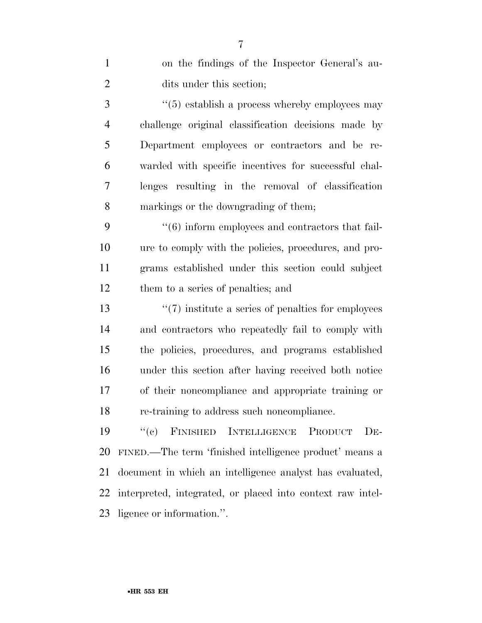| $\mathbf{1}$   | on the findings of the Inspector General's au-                   |
|----------------|------------------------------------------------------------------|
| $\overline{2}$ | dits under this section;                                         |
| 3              | $\cdot\cdot\cdot(5)$ establish a process whereby employees may   |
| $\overline{4}$ | challenge original classification decisions made by              |
| 5              | Department employees or contractors and be re-                   |
| 6              | warded with specific incentives for successful chal-             |
| 7              | lenges resulting in the removal of classification                |
| 8              | markings or the downgrading of them;                             |
| 9              | $\cdot\cdot\cdot(6)$ inform employees and contractors that fail- |
| 10             | ure to comply with the policies, procedures, and pro-            |
| 11             | grams established under this section could subject               |
| 12             | them to a series of penalties; and                               |
| 13             | $\lq(7)$ institute a series of penalties for employees           |
| 14             | and contractors who repeatedly fail to comply with               |
| 15             | the policies, procedures, and programs established               |
| 16             | under this section after having received both notice             |
| 17             | of their noncompliance and appropriate training or               |
| 18             | re-training to address such noncompliance.                       |
| 19             | FINISHED INTELLIGENCE<br>``(e)<br><b>PRODUCT</b><br>$DE-$        |
| 20             | FINED.—The term 'finished intelligence product' means a          |
| 21             | document in which an intelligence analyst has evaluated,         |
| 22             | interpreted, integrated, or placed into context raw intel-       |
| 23             | ligence or information.".                                        |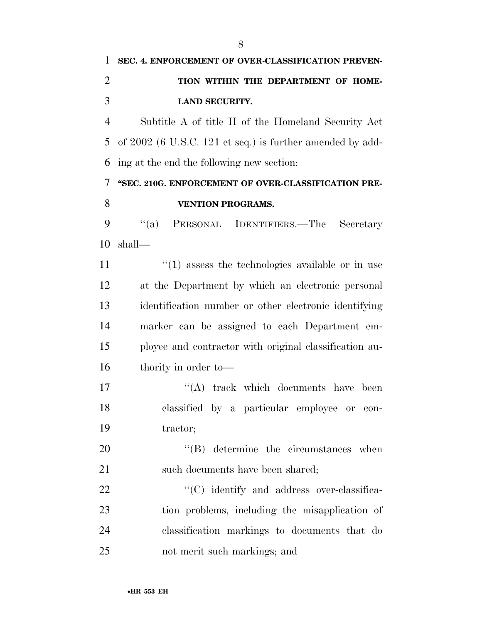Subtitle A of title II of the Homeland Security Act of 2002 (6 U.S.C. 121 et seq.) is further amended by add-ing at the end the following new section:

### **''SEC. 210G. ENFORCEMENT OF OVER-CLASSIFICATION PRE-VENTION PROGRAMS.**

 ''(a) PERSONAL IDENTIFIERS.—The Secretary shall—

 $\binom{11}{1}$  assess the technologies available or in use at the Department by which an electronic personal identification number or other electronic identifying marker can be assigned to each Department em- ployee and contractor with original classification au-thority in order to—

17 ''(A) track which documents have been classified by a particular employee or con-tractor;

20  $\text{``(B)}$  determine the circumstances when 21 such documents have been shared;

 $\cdot$  (C) identify and address over-classifica- tion problems, including the misapplication of classification markings to documents that do not merit such markings; and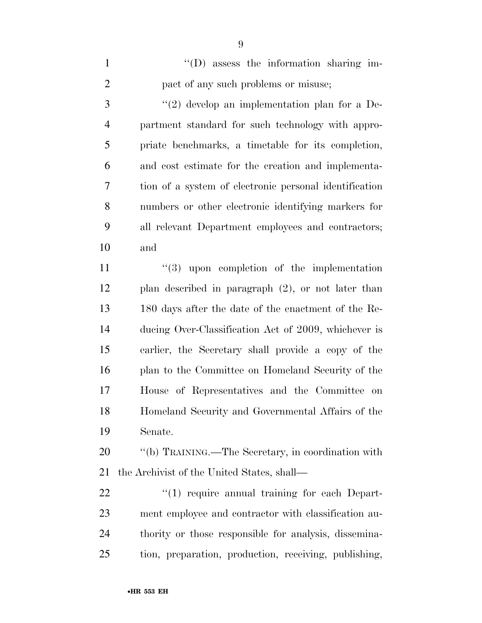| $\mathbf{1}$   | $\lq\lq$ . The information sharing im-                 |
|----------------|--------------------------------------------------------|
| $\mathfrak{2}$ | pact of any such problems or misuse;                   |
| 3              | $(2)$ develop an implementation plan for a De-         |
| $\overline{4}$ | partment standard for such technology with appro-      |
| 5              | priate benchmarks, a timetable for its completion,     |
| 6              | and cost estimate for the creation and implementa-     |
| $\overline{7}$ | tion of a system of electronic personal identification |
| 8              | numbers or other electronic identifying markers for    |
| 9              | all relevant Department employees and contractors;     |
| 10             | and                                                    |
| 11             | $(3)$ upon completion of the implementation            |
|                |                                                        |
| 12             | plan described in paragraph $(2)$ , or not later than  |
| 13             | 180 days after the date of the enactment of the Re-    |
| 14             | ducing Over-Classification Act of 2009, whichever is   |
| 15             | earlier, the Secretary shall provide a copy of the     |
| 16             | plan to the Committee on Homeland Security of the      |
| 17             | House of Representatives and the Committee on          |

Senate.

20  $\hspace{1cm}$  "(b) TRAINING.—The Secretary, in coordination with the Archivist of the United States, shall—

 $\qquad$  ''(1) require annual training for each Depart- ment employee and contractor with classification au- thority or those responsible for analysis, dissemina-tion, preparation, production, receiving, publishing,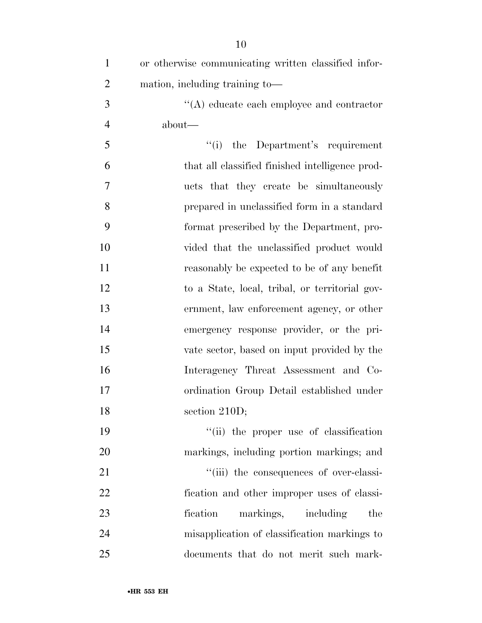| $\mathbf{1}$   | or otherwise communicating written classified infor- |
|----------------|------------------------------------------------------|
| $\overline{2}$ | mation, including training to-                       |
| 3              | $\lq\lq$ educate each employee and contractor        |
| $\overline{4}$ | about—                                               |
| 5              | "(i) the Department's requirement                    |
| 6              | that all classified finished intelligence prod-      |
| 7              | ucts that they create be simultaneously              |
| 8              | prepared in unclassified form in a standard          |
| 9              | format prescribed by the Department, pro-            |
| 10             | vided that the unclassified product would            |
| 11             | reasonably be expected to be of any benefit          |
| 12             | to a State, local, tribal, or territorial gov-       |
| 13             | ernment, law enforcement agency, or other            |
| 14             | emergency response provider, or the pri-             |
| 15             | vate sector, based on input provided by the          |
| 16             | Interagency Threat Assessment and Co-                |
| 17             | ordination Group Detail established under            |
| 18             | section $210D$ ;                                     |
| 19             | "(ii) the proper use of classification               |
| 20             | markings, including portion markings; and            |
| 21             | "(iii) the consequences of over-classi-              |
| 22             | fication and other improper uses of classi-          |
| 23             | fication<br>markings, including<br>the               |
| 24             | misapplication of classification markings to         |
| 25             | documents that do not merit such mark-               |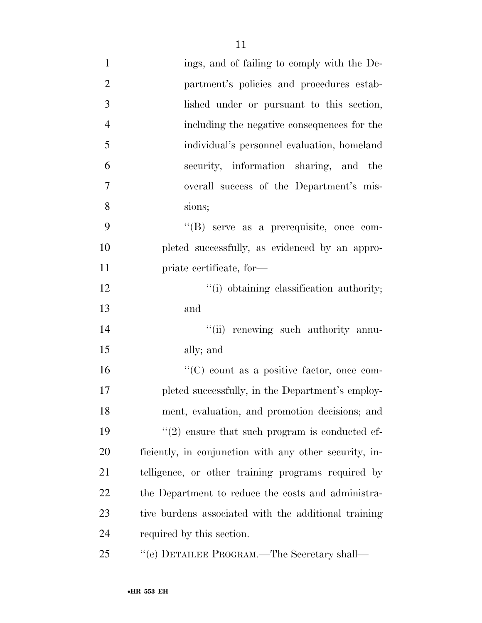| $\mathbf{1}$   | ings, and of failing to comply with the De-            |
|----------------|--------------------------------------------------------|
| $\overline{2}$ | partment's policies and procedures estab-              |
| 3              | lished under or pursuant to this section,              |
| $\overline{4}$ | including the negative consequences for the            |
| 5              | individual's personnel evaluation, homeland            |
| 6              | security, information sharing, and the                 |
| $\overline{7}$ | overall success of the Department's mis-               |
| 8              | sions;                                                 |
| 9              | $\lq\lq(B)$ serve as a prerequisite, once com-         |
| 10             | pleted successfully, as evidenced by an appro-         |
| 11             | priate certificate, for-                               |
| 12             | "(i) obtaining classification authority;               |
| 13             | and                                                    |
| 14             | "(ii) renewing such authority annu-                    |
| 15             | ally; and                                              |
| 16             | "(C) count as a positive factor, once com-             |
| 17             | pleted successfully, in the Department's employ-       |
| 18             | ment, evaluation, and promotion decisions; and         |
| 19             | $\lq(2)$ ensure that such program is conducted ef-     |
| <b>20</b>      | ficiently, in conjunction with any other security, in- |
| 21             | telligence, or other training programs required by     |
| 22             | the Department to reduce the costs and administra-     |
| 23             | tive burdens associated with the additional training   |
| 24             | required by this section.                              |
| 25             | "(c) DETAILEE PROGRAM.—The Secretary shall—            |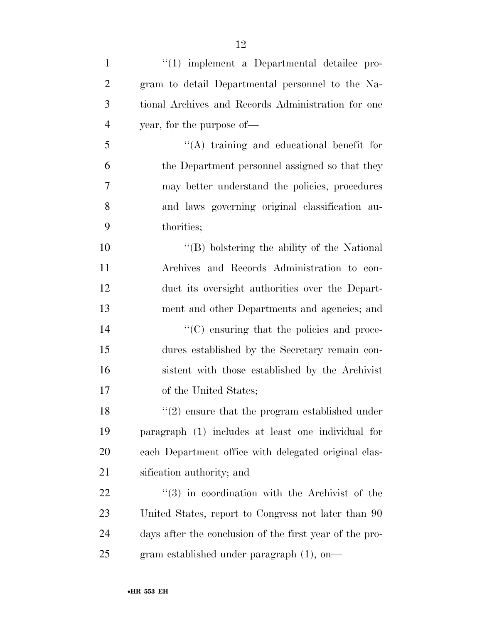| $\mathbf{1}$   | $\lq(1)$ implement a Departmental detailee pro-         |
|----------------|---------------------------------------------------------|
| $\overline{2}$ | gram to detail Departmental personnel to the Na-        |
| 3              | tional Archives and Records Administration for one      |
| $\overline{4}$ | year, for the purpose of—                               |
| 5              | "(A) training and educational benefit for               |
| 6              | the Department personnel assigned so that they          |
| 7              | may better understand the policies, procedures          |
| 8              | and laws governing original classification au-          |
| 9              | thorities;                                              |
| 10             | "(B) bolstering the ability of the National             |
| 11             | Archives and Records Administration to con-             |
| 12             | duct its oversight authorities over the Depart-         |
| 13             | ment and other Departments and agencies; and            |
| 14             | $\lq\lq$ (C) ensuring that the policies and proce-      |
| 15             | dures established by the Secretary remain con-          |
| 16             | sistent with those established by the Archivist         |
| 17             | of the United States;                                   |
| 18             | $\lq(2)$ ensure that the program established under      |
| 19             | paragraph (1) includes at least one individual for      |
| <b>20</b>      | each Department office with delegated original clas-    |
| 21             | sification authority; and                               |
| 22             | $(3)$ in coordination with the Archivist of the         |
| 23             | United States, report to Congress not later than 90     |
| 24             | days after the conclusion of the first year of the pro- |
| 25             | gram established under paragraph (1), on-               |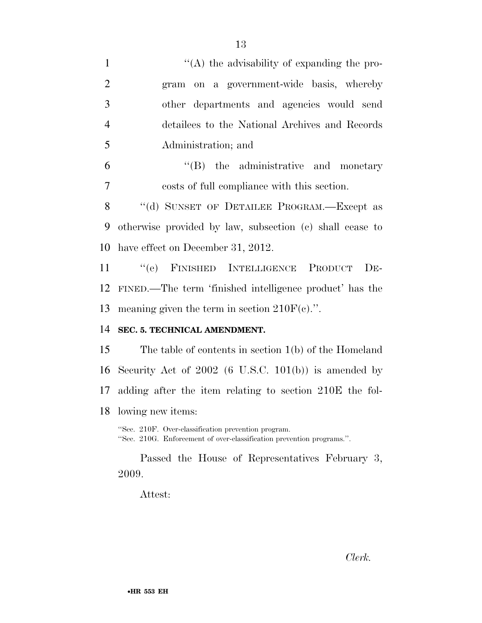|                | Τą                                                                                                                           |
|----------------|------------------------------------------------------------------------------------------------------------------------------|
| $\mathbf{1}$   | $\cdot$ (A) the advisability of expanding the pro-                                                                           |
| $\overline{2}$ | gram on a government-wide basis, whereby                                                                                     |
| 3              | other departments and agencies would send                                                                                    |
| $\overline{4}$ | detailees to the National Archives and Records                                                                               |
| 5              | Administration; and                                                                                                          |
| 6              | $\lq\lq$ (B) the administrative and monetary                                                                                 |
| $\overline{7}$ | costs of full compliance with this section.                                                                                  |
| 8              | "(d) SUNSET OF DETAILEE PROGRAM.—Except as                                                                                   |
| 9              | otherwise provided by law, subsection (c) shall cease to                                                                     |
| 10             | have effect on December 31, 2012.                                                                                            |
| 11             | "(e) FINISHED INTELLIGENCE PRODUCT<br>$DE-$                                                                                  |
| 12             | FINED.—The term 'finished intelligence product' has the                                                                      |
| 13             | meaning given the term in section $210F(c)$ .".                                                                              |
| 14             | SEC. 5. TECHNICAL AMENDMENT.                                                                                                 |
| 15             | The table of contents in section $1(b)$ of the Homeland                                                                      |
| 16             | Security Act of $2002$ (6 U.S.C. 101(b)) is amended by                                                                       |
| 17             | adding after the item relating to section 210E the fol-                                                                      |
| 18             | lowing new items:                                                                                                            |
|                | "Sec. 210F. Over-classification prevention program.<br>"Sec. 210G. Enforcement of over-classification prevention programs.". |
|                | Passed the House of Representatives February 3,<br>2009.                                                                     |
|                | Attest:                                                                                                                      |